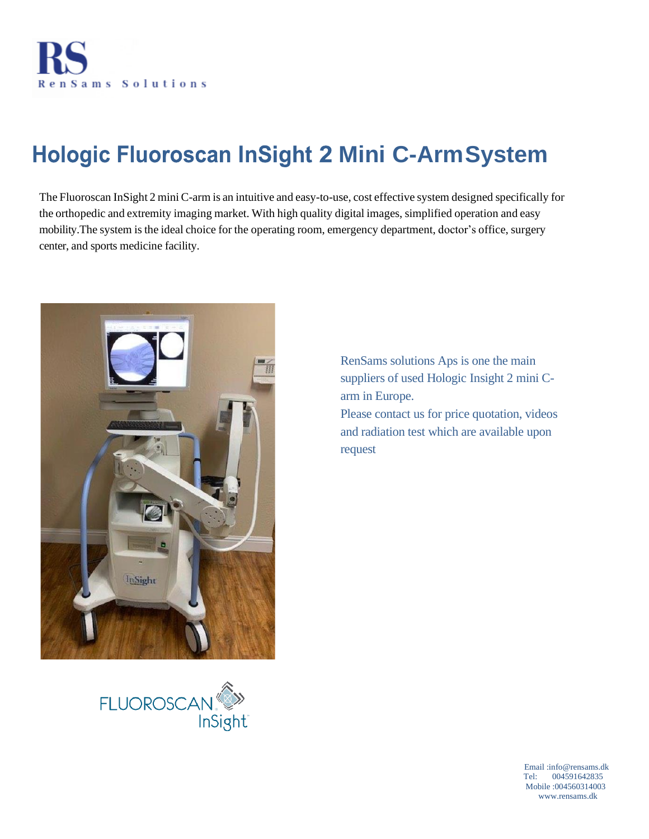

# **Hologic Fluoroscan InSight 2 Mini C-ArmSystem**

The Fluoroscan InSight 2 miniC-arm is an intuitive and easy-to-use, cost effective system designed specifically for the orthopedic and extremity imaging market. With high quality digital images, simplified operation and easy mobility. The system is the ideal choice for the operating room, emergency department, doctor's office, surgery center, and sports medicine facility.



RenSams solutions Aps is one the main suppliers of used Hologic Insight 2 mini Carm in Europe.

Please contact us for price quotation, videos and radiation test which are available upon request



 Email :info@rensams.dk Tel: 004591642835 Mobile :004560314003 www.rensams.dk